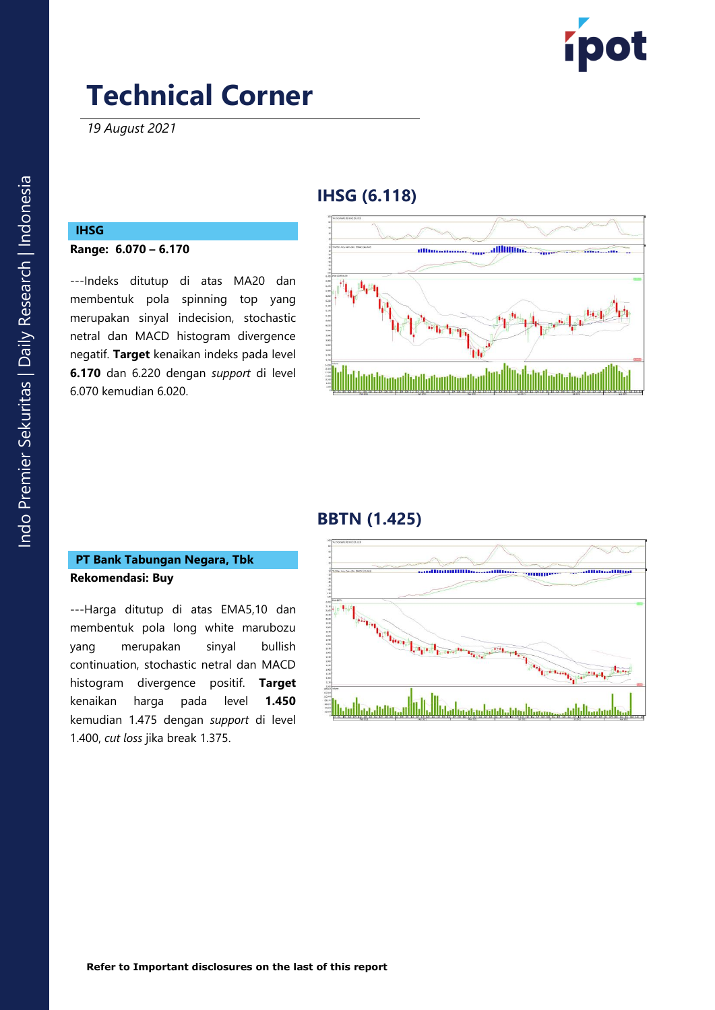

*19 August 2021*

### **IHSG (6.11 8 )**

## **IHSG**

**Range: 6. 070 – 6. 170**

---Indeks ditutup di atas MA20 dan membentuk pola spinning top yang merupakan sinyal indecision , stochastic netral dan MACD histogram divergence negatif. **Target** kenaikan indeks pada level **6. 170** dan 6 . 2 2 0 dengan *support* di level 6.07 0 kemudian 6 . 0 2 0 .



## **BBTN (1.425 )**

#### **PT Bank Tabungan Negara, Tbk Rekomendasi: Buy**

---Harga ditutup di atas EMA5,10 dan membentuk pola long white marubozu yang merupakan sinyal bullish continuation, stochastic netral dan MACD histogram divergence positif . **Target**  kenaikan harga pada level **1.450** kemudian 1.475 dengan *support* di level 1.400, *cut loss* jika break 1.375 .

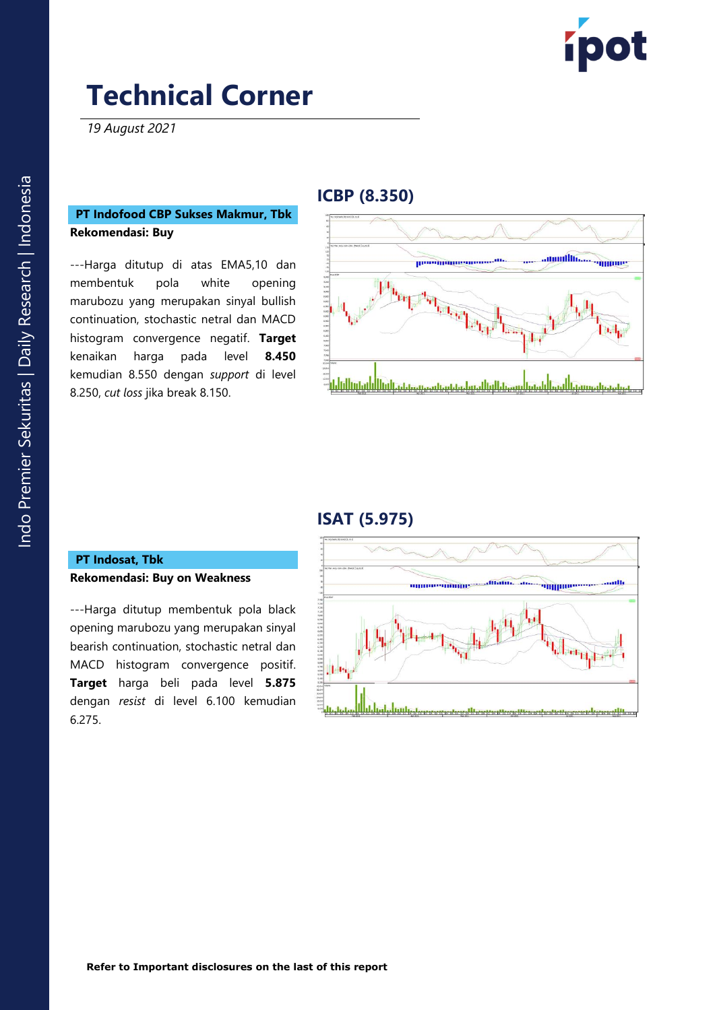

*19 August 2021*

#### **PT Indofood CBP Sukses Makmur, Tbk Rekomendasi: Buy**

---Harga ditutup di atas EMA5,10 dan membentuk pola white opening marubozu yang merupakan sinyal bullish continuation, stochastic netral dan MACD histogram convergence negatif. **Target**  kenaikan harga pada level **8.450** kemudian 8.550 dengan *support* di level 8.250, *cut loss* jika break 8.150 .

#### **ICBP (8.350 )**



### **ISAT ( 5 .975 )**

#### **PT Indosa t, Tbk Rekomendasi: Buy on Weakness**

---Harga ditutup membentuk pola black opening marubozu yang merupakan sinyal bearish continuation, stochastic netral dan MACD histogram convergence positif. **Target** harga beli pada level **5.875** dengan *resist* di level 6.10 0 kemudian 6.275 .

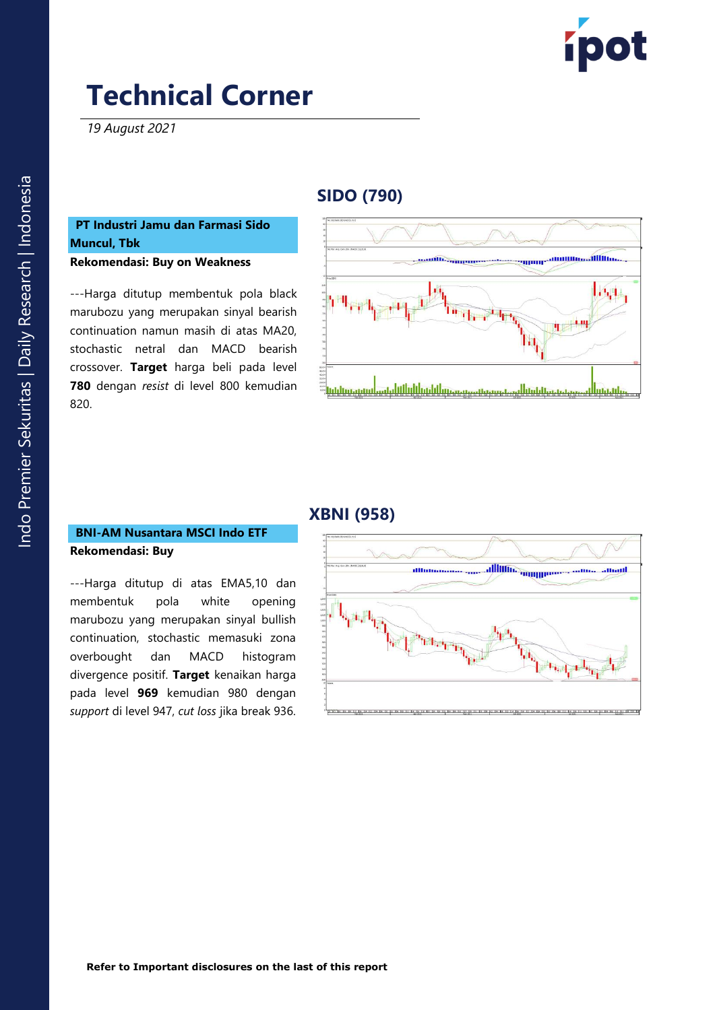

*19 August 2021*

## **SIDO (790 )**

## **PT Industri Jamu dan Farmasi Sido Muncul, Tbk**

**Rekomendasi: Buy on Weakness**

---Harga ditutup membentuk pola black marubozu yang merupakan sinyal bearish continuation namun masih di atas MA20, stochastic netral dan MACD bearish crossover. **Target** harga beli pada level **780** dengan *resist* di level 800 kemudian 820 .



### **XBNI (958)**

#### **BNI -AM Nusantara MSCI Indo ETF Rekomendasi: Buy**

---Harga ditutup di atas EMA5,10 dan membentuk pola white opening marubozu yang merupakan sinyal bullish continuation, stochastic memasuki zona overbought dan MACD histogram divergence positif. **Target** kenaikan harga pada level **969** kemudian 980 dengan *support* di level 947, *cut loss* jika break 936 .

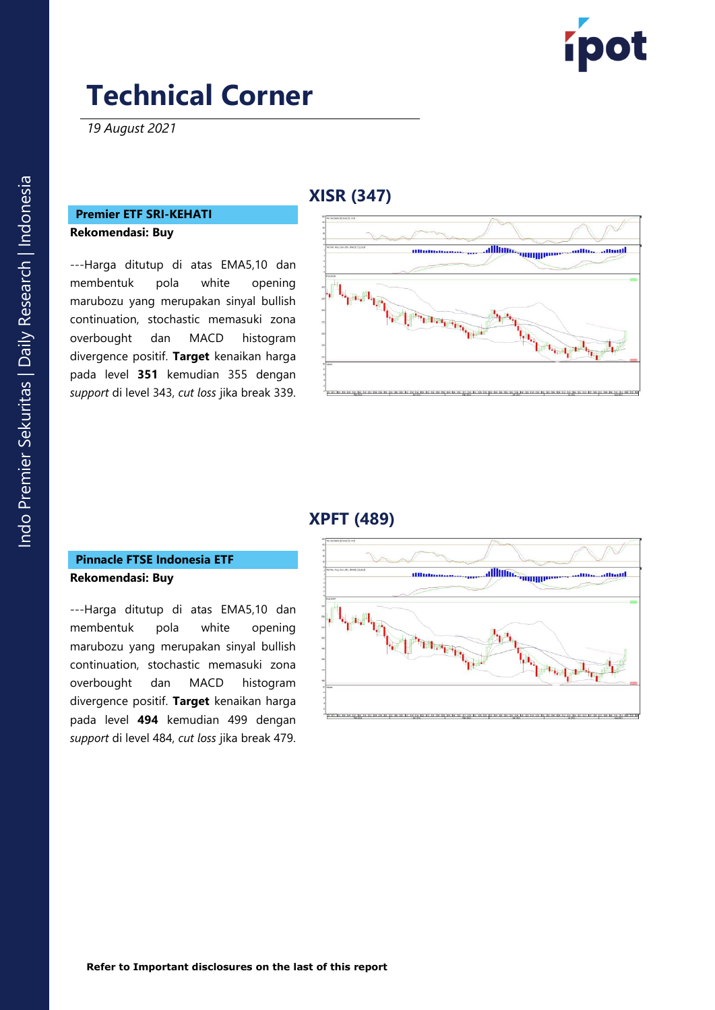

*19 August 2021*

### **X ISR (347 )**

#### **Premier ETF SRI -KEHATI Rekomendasi: Buy**

---Harga ditutup di atas EMA5,10 dan membentuk pola white opening marubozu yang merupakan sinyal bullish continuation, stochastic memasuki zona overbought dan MACD histogram divergence positif. **Target** kenaikan harga pada level **35 1** kemudian 355 dengan *support* di level 343, *cut loss* jika break 339 .



### **X PFT (489)**

#### **Pinnacle FTSE Indonesia ETF Rekomendasi: Buy**

---Harga ditutup di atas EMA5,10 dan membentuk pola white opening marubozu yang merupakan sinyal bullish continuation, stochastic memasuki zon a overbought dan MACD histogram divergence positif. **Target** kenaikan harga pada level **49 4** kemudian 499 dengan *support* di level 484, *cut loss* jika break 479 .